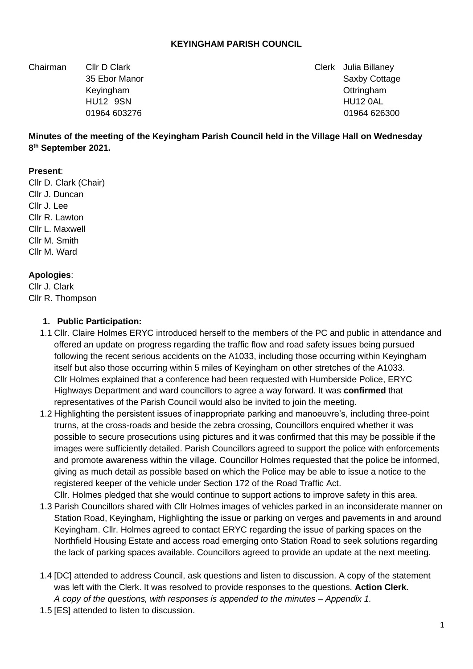#### **KEYINGHAM PARISH COUNCIL**

Chairman Cllr D Clark Clerk Julia Billaney

35 Ebor Manor Saxby Cottage 35 Ebor Manor Saxby Cottage 35 Ebor Manor Saxby Cottage Keyingham **Ottringham Contract Contract Contract Contract Contract Contract Contract Contract Contract Contract Contract Contract Contract Contract Contract Contract Contract Contract Contract Contract Contract Contract** HU12 9SN HU12 0AL 01964 603276 01964 626300

#### **Minutes of the meeting of the Keyingham Parish Council held in the Village Hall on Wednesday 8 th September 2021.**

#### **Present**:

Cllr D. Clark (Chair) Cllr J. Duncan Cllr J. Lee Cllr R. Lawton Cllr L. Maxwell Cllr M. Smith Cllr M. Ward

#### **Apologies**:

Cllr J. Clark Cllr R. Thompson

#### **1. Public Participation:**

- 1.1 Cllr. Claire Holmes ERYC introduced herself to the members of the PC and public in attendance and offered an update on progress regarding the traffic flow and road safety issues being pursued following the recent serious accidents on the A1033, including those occurring within Keyingham itself but also those occurring within 5 miles of Keyingham on other stretches of the A1033. Cllr Holmes explained that a conference had been requested with Humberside Police, ERYC Highways Department and ward councillors to agree a way forward. It was **confirmed** that representatives of the Parish Council would also be invited to join the meeting.
- 1.2 Highlighting the persistent issues of inappropriate parking and manoeuvre's, including three-point trurns, at the cross-roads and beside the zebra crossing, Councillors enquired whether it was possible to secure prosecutions using pictures and it was confirmed that this may be possible if the images were sufficiently detailed. Parish Councillors agreed to support the police with enforcements and promote awareness within the village. Councillor Holmes requested that the police be informed, giving as much detail as possible based on which the Police may be able to issue a notice to the registered keeper of the vehicle under Section 172 of the Road Traffic Act.

Cllr. Holmes pledged that she would continue to support actions to improve safety in this area.

- 1.3 Parish Councillors shared with Cllr Holmes images of vehicles parked in an inconsiderate manner on Station Road, Keyingham, Highlighting the issue or parking on verges and pavements in and around Keyingham. Cllr. Holmes agreed to contact ERYC regarding the issue of parking spaces on the Northfield Housing Estate and access road emerging onto Station Road to seek solutions regarding the lack of parking spaces available. Councillors agreed to provide an update at the next meeting.
- 1.4 [DC] attended to address Council, ask questions and listen to discussion. A copy of the statement was left with the Clerk. It was resolved to provide responses to the questions. **Action Clerk.** *A copy of the questions, with responses is appended to the minutes – Appendix 1.*
- 1.5 [ES] attended to listen to discussion.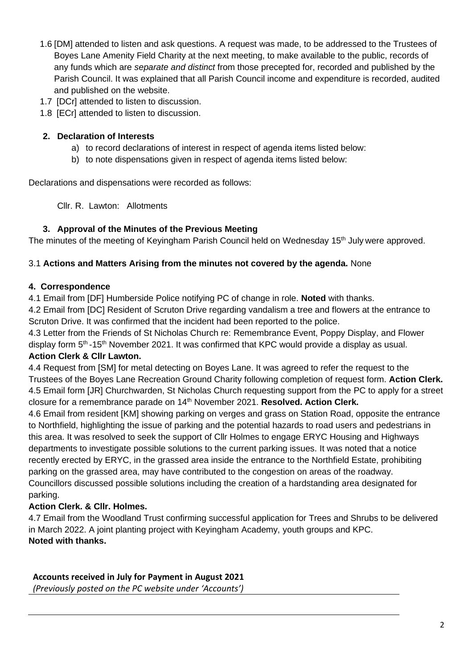- 1.6 [DM] attended to listen and ask questions. A request was made, to be addressed to the Trustees of Boyes Lane Amenity Field Charity at the next meeting, to make available to the public, records of any funds which are *separate and distinct* from those precepted for, recorded and published by the Parish Council. It was explained that all Parish Council income and expenditure is recorded, audited and published on the website.
- 1.7 [DCr] attended to listen to discussion.
- 1.8 [ECr] attended to listen to discussion.

### **2. Declaration of Interests**

- a) to record declarations of interest in respect of agenda items listed below:
- b) to note dispensations given in respect of agenda items listed below:

Declarations and dispensations were recorded as follows:

Cllr. R. Lawton: Allotments

### **3. Approval of the Minutes of the Previous Meeting**

The minutes of the meeting of Keyingham Parish Council held on Wednesday 15<sup>th</sup> July were approved.

### 3.1 **Actions and Matters Arising from the minutes not covered by the agenda.** None

### **4. Correspondence**

4.1 Email from [DF] Humberside Police notifying PC of change in role. **Noted** with thanks.

4.2 Email from [DC] Resident of Scruton Drive regarding vandalism a tree and flowers at the entrance to Scruton Drive. It was confirmed that the incident had been reported to the police.

4.3 Letter from the Friends of St Nicholas Church re: Remembrance Event, Poppy Display, and Flower display form  $5<sup>th</sup>$ -15<sup>th</sup> November 2021. It was confirmed that KPC would provide a display as usual. **Action Clerk & Cllr Lawton.**

4.4 Request from [SM] for metal detecting on Boyes Lane. It was agreed to refer the request to the Trustees of the Boyes Lane Recreation Ground Charity following completion of request form. **Action Clerk.** 4.5 Email form [JR] Churchwarden, St Nicholas Church requesting support from the PC to apply for a street closure for a remembrance parade on 14<sup>th</sup> November 2021. **Resolved. Action Clerk.** 

4.6 Email from resident [KM] showing parking on verges and grass on Station Road, opposite the entrance to Northfield, highlighting the issue of parking and the potential hazards to road users and pedestrians in this area. It was resolved to seek the support of Cllr Holmes to engage ERYC Housing and Highways departments to investigate possible solutions to the current parking issues. It was noted that a notice recently erected by ERYC, in the grassed area inside the entrance to the Northfield Estate, prohibiting parking on the grassed area, may have contributed to the congestion on areas of the roadway. Councillors discussed possible solutions including the creation of a hardstanding area designated for parking.

# **Action Clerk. & Cllr. Holmes.**

4.7 Email from the Woodland Trust confirming successful application for Trees and Shrubs to be delivered in March 2022. A joint planting project with Keyingham Academy, youth groups and KPC. **Noted with thanks.** 

### **Accounts received in July for Payment in August 2021**

*(Previously posted on the PC website under 'Accounts')*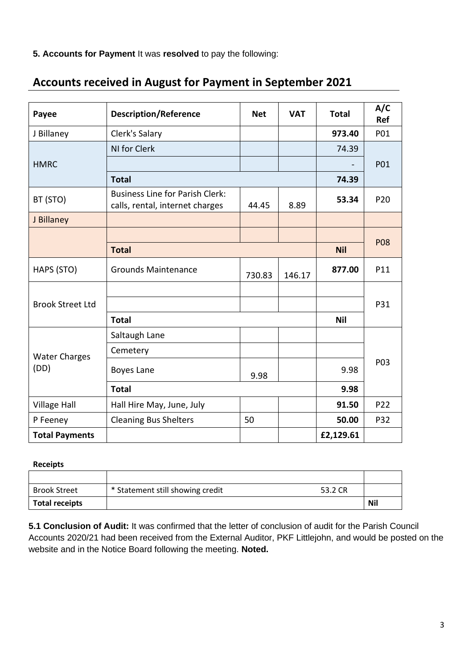**5. Accounts for Payment** It was **resolved** to pay the following:

| Payee                        | <b>Description/Reference</b>                                              | <b>Net</b> | <b>VAT</b> | <b>Total</b> | A/C<br>Ref      |
|------------------------------|---------------------------------------------------------------------------|------------|------------|--------------|-----------------|
| J Billaney                   | Clerk's Salary                                                            |            |            | 973.40       | P01             |
| <b>HMRC</b>                  | NI for Clerk                                                              |            |            | 74.39        | P01             |
|                              |                                                                           |            |            |              |                 |
|                              | <b>Total</b>                                                              |            |            | 74.39        |                 |
| BT (STO)                     | <b>Business Line for Parish Clerk:</b><br>calls, rental, internet charges | 44.45      | 8.89       | 53.34        | P <sub>20</sub> |
| J Billaney                   |                                                                           |            |            |              |                 |
|                              |                                                                           |            |            |              | <b>P08</b>      |
|                              | <b>Total</b>                                                              |            |            | <b>Nil</b>   |                 |
| HAPS (STO)                   | <b>Grounds Maintenance</b>                                                | 730.83     | 146.17     | 877.00       | P11             |
| <b>Brook Street Ltd</b>      |                                                                           |            |            |              | P31             |
|                              |                                                                           |            |            |              |                 |
|                              | <b>Total</b>                                                              |            |            | <b>Nil</b>   |                 |
| <b>Water Charges</b><br>(DD) | Saltaugh Lane                                                             |            |            |              | P03             |
|                              | Cemetery                                                                  |            |            |              |                 |
|                              | Boyes Lane                                                                | 9.98       |            | 9.98         |                 |
|                              | <b>Total</b>                                                              |            |            | 9.98         |                 |
| <b>Village Hall</b>          | Hall Hire May, June, July                                                 |            |            | 91.50        | P22             |
| P Feeney                     | <b>Cleaning Bus Shelters</b>                                              | 50         |            | 50.00        | P32             |
| <b>Total Payments</b>        |                                                                           |            |            | £2,129.61    |                 |

# **Accounts received in August for Payment in September 2021**

#### **Receipts**

| <b>Brook Street</b>   | * Statement still showing credit<br>53.2 CR |            |
|-----------------------|---------------------------------------------|------------|
| <b>Total receipts</b> |                                             | <b>Nil</b> |

**5.1 Conclusion of Audit:** It was confirmed that the letter of conclusion of audit for the Parish Council Accounts 2020/21 had been received from the External Auditor, PKF Littlejohn, and would be posted on the website and in the Notice Board following the meeting. **Noted.**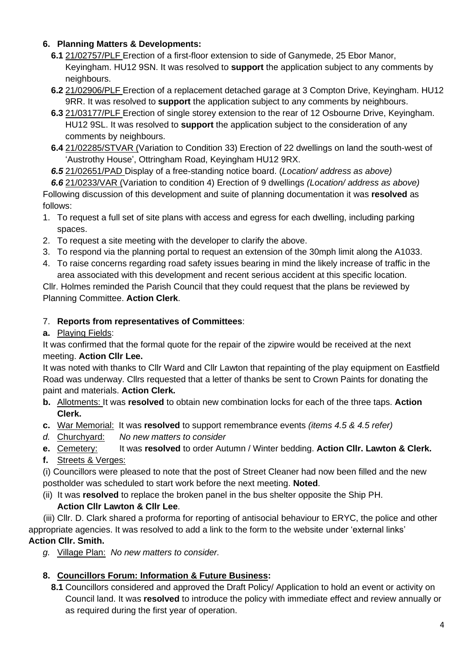### **6. Planning Matters & Developments:**

- **6.1** 21/02757/PLF Erection of a first-floor extension to side of Ganymede, 25 Ebor Manor, Keyingham. HU12 9SN. It was resolved to **support** the application subject to any comments by neighbours.
- **6.2** 21/02906/PLF Erection of a replacement detached garage at 3 Compton Drive, Keyingham. HU12 9RR. It was resolved to **support** the application subject to any comments by neighbours.
- **6.3** 21/03177/PLF Erection of single storey extension to the rear of 12 Osbourne Drive, Keyingham. HU12 9SL. It was resolved to **support** the application subject to the consideration of any comments by neighbours.
- **6.4** 21/02285/STVAR (Variation to Condition 33) Erection of 22 dwellings on land the south-west of 'Austrothy House', Ottringham Road, Keyingham HU12 9RX.
- *6.5* 21/02651/PAD Display of a free-standing notice board. (*Location/ address as above)*

*6.6* 21/0233/VAR (Variation to condition 4) Erection of 9 dwellings *(Location/ address as above)* Following discussion of this development and suite of planning documentation it was **resolved** as follows:

- 1. To request a full set of site plans with access and egress for each dwelling, including parking spaces.
- 2. To request a site meeting with the developer to clarify the above.
- 3. To respond via the planning portal to request an extension of the 30mph limit along the A1033.
- 4. To raise concerns regarding road safety issues bearing in mind the likely increase of traffic in the area associated with this development and recent serious accident at this specific location.

Cllr. Holmes reminded the Parish Council that they could request that the plans be reviewed by Planning Committee. **Action Clerk**.

# 7. **Reports from representatives of Committees**:

## **a.** Playing Fields:

It was confirmed that the formal quote for the repair of the zipwire would be received at the next meeting. **Action Cllr Lee.**

It was noted with thanks to Cllr Ward and Cllr Lawton that repainting of the play equipment on Eastfield Road was underway. Cllrs requested that a letter of thanks be sent to Crown Paints for donating the paint and materials. **Action Clerk.**

- **b.** Allotments: It was **resolved** to obtain new combination locks for each of the three taps. **Action Clerk.**
- **c.** War Memorial: It was **resolved** to support remembrance events *(items 4.5 & 4.5 refer)*
- *d.* Churchyard: *No new matters to consider*
- **e.** Cemetery: It was **resolved** to order Autumn / Winter bedding. **Action Cllr. Lawton & Clerk.**
- **f.** Streets & Verges:

(i) Councillors were pleased to note that the post of Street Cleaner had now been filled and the new postholder was scheduled to start work before the next meeting. **Noted**.

(ii) It was **resolved** to replace the broken panel in the bus shelter opposite the Ship PH.

# **Action Cllr Lawton & Cllr Lee**.

 (iii) Cllr. D. Clark shared a proforma for reporting of antisocial behaviour to ERYC, the police and other appropriate agencies. It was resolved to add a link to the form to the website under 'external links' **Action Cllr. Smith.**

*g.* Village Plan: *No new matters to consider.*

# **8. Councillors Forum: Information & Future Business:**

**8.1** Councillors considered and approved the Draft Policy/ Application to hold an event or activity on Council land. It was **resolved** to introduce the policy with immediate effect and review annually or as required during the first year of operation.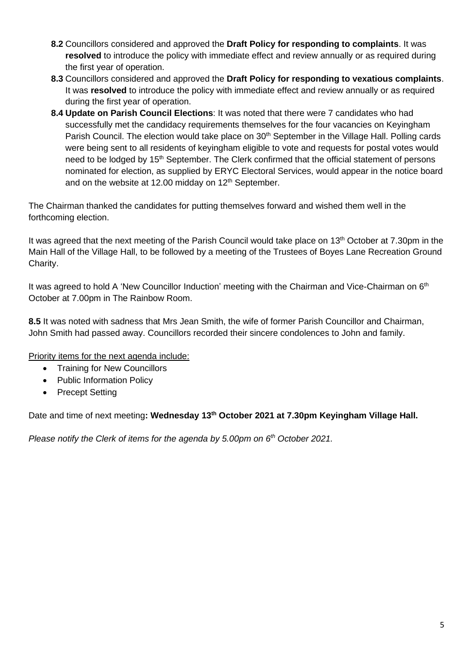- **8.2** Councillors considered and approved the **Draft Policy for responding to complaints**. It was **resolved** to introduce the policy with immediate effect and review annually or as required during the first year of operation.
- **8.3** Councillors considered and approved the **Draft Policy for responding to vexatious complaints**. It was **resolved** to introduce the policy with immediate effect and review annually or as required during the first year of operation.
- **8.4 Update on Parish Council Elections**: It was noted that there were 7 candidates who had successfully met the candidacy requirements themselves for the four vacancies on Keyingham Parish Council. The election would take place on 30<sup>th</sup> September in the Village Hall. Polling cards were being sent to all residents of keyingham eligible to vote and requests for postal votes would need to be lodged by 15<sup>th</sup> September. The Clerk confirmed that the official statement of persons nominated for election, as supplied by ERYC Electoral Services, would appear in the notice board and on the website at 12.00 midday on  $12<sup>th</sup>$  September.

The Chairman thanked the candidates for putting themselves forward and wished them well in the forthcoming election.

It was agreed that the next meeting of the Parish Council would take place on 13<sup>th</sup> October at 7.30pm in the Main Hall of the Village Hall, to be followed by a meeting of the Trustees of Boyes Lane Recreation Ground Charity.

It was agreed to hold A 'New Councillor Induction' meeting with the Chairman and Vice-Chairman on 6<sup>th</sup> October at 7.00pm in The Rainbow Room.

**8.5** It was noted with sadness that Mrs Jean Smith, the wife of former Parish Councillor and Chairman, John Smith had passed away. Councillors recorded their sincere condolences to John and family.

Priority items for the next agenda include:

- Training for New Councillors
- Public Information Policy
- Precept Setting

Date and time of next meeting**: Wednesday 13th October 2021 at 7.30pm Keyingham Village Hall.**

*Please notify the Clerk of items for the agenda by 5.00pm on 6 th October 2021.*